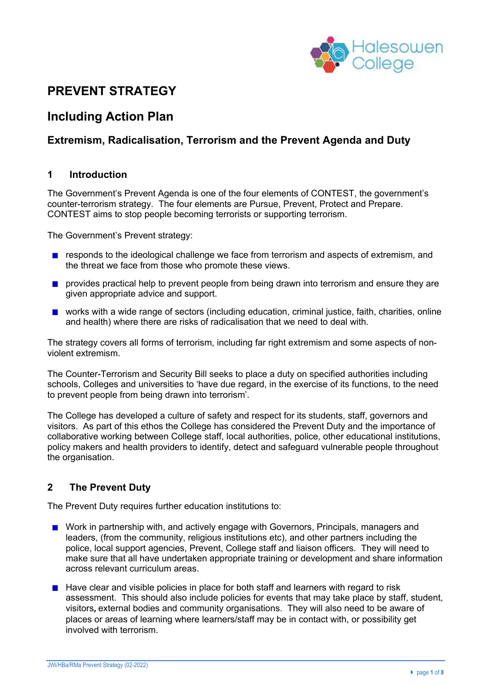

# **PREVENT STRATEGY**

# **Including Action Plan**

## **Extremism, Radicalisation, Terrorism and the Prevent Agenda and Duty**

#### **1 Introduction**

The Government's Prevent Agenda is one of the four elements of CONTEST, the government's counter-terrorism strategy. The four elements are Pursue, Prevent, Protect and Prepare. CONTEST aims to stop people becoming terrorists or supporting terrorism.

The Government's Prevent strategy:

- responds to the ideological challenge we face from terrorism and aspects of extremism, and the threat we face from those who promote these views.
- **P** provides practical help to prevent people from being drawn into terrorism and ensure they are given appropriate advice and support.
- **u** works with a wide range of sectors (including education, criminal justice, faith, charities, online and health) where there are risks of radicalisation that we need to deal with.

The strategy covers all forms of terrorism, including far right extremism and some aspects of nonviolent extremism.

The Counter-Terrorism and Security Bill seeks to place a duty on specified authorities including schools, Colleges and universities to 'have due regard, in the exercise of its functions, to the need to prevent people from being drawn into terrorism'.

The College has developed a culture of safety and respect for its students, staff, governors and visitors. As part of this ethos the College has considered the Prevent Duty and the importance of collaborative working between College staff, local authorities, police, other educational institutions, policy makers and health providers to identify, detect and safeguard vulnerable people throughout the organisation.

## **2 The Prevent Duty**

The Prevent Duty requires further education institutions to:

- **Nork in partnership with, and actively engage with Governors, Principals, managers and** leaders, (from the community, religious institutions etc), and other partners including the police, local support agencies, Prevent, College staff and liaison officers. They will need to make sure that all have undertaken appropriate training or development and share information across relevant curriculum areas.
- **Have clear and visible policies in place for both staff and learners with regard to risk** assessment. This should also include policies for events that may take place by staff, student, visitors**,** external bodies and community organisations. They will also need to be aware of places or areas of learning where learners/staff may be in contact with, or possibility get involved with terrorism.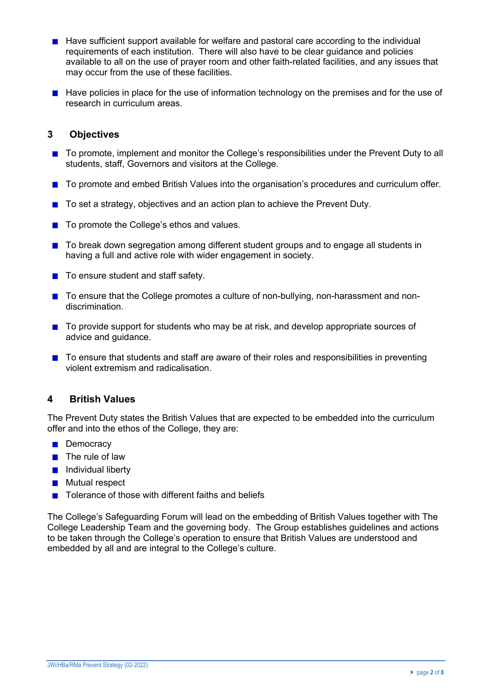- $\blacksquare$  Have sufficient support available for welfare and pastoral care according to the individual requirements of each institution. There will also have to be clear guidance and policies available to all on the use of prayer room and other faith-related facilities, and any issues that may occur from the use of these facilities.
- $\blacksquare$  Have policies in place for the use of information technology on the premises and for the use of research in curriculum areas.

#### **3 Objectives**

- To promote, implement and monitor the College's responsibilities under the Prevent Duty to all students, staff, Governors and visitors at the College.
- To promote and embed British Values into the organisation's procedures and curriculum offer.
- $\blacksquare$  To set a strategy, objectives and an action plan to achieve the Prevent Duty.
- $\blacksquare$  To promote the College's ethos and values.
- **The State of the State and T** and to be a state of the student groups and to engage all students in having a full and active role with wider engagement in society.
- $\blacksquare$  To ensure student and staff safety.
- To ensure that the College promotes a culture of non-bullying, non-harassment and nondiscrimination.
- To provide support for students who may be at risk, and develop appropriate sources of advice and guidance.
- To ensure that students and staff are aware of their roles and responsibilities in preventing violent extremism and radicalisation.

#### **4 British Values**

The Prevent Duty states the British Values that are expected to be embedded into the curriculum offer and into the ethos of the College, they are:

- **Democracy**
- $\blacksquare$  The rule of law
- **n** Individual liberty
- **Mutual respect**
- $\blacksquare$  Tolerance of those with different faiths and beliefs

The College's Safeguarding Forum will lead on the embedding of British Values together with The College Leadership Team and the governing body. The Group establishes guidelines and actions to be taken through the College's operation to ensure that British Values are understood and embedded by all and are integral to the College's culture.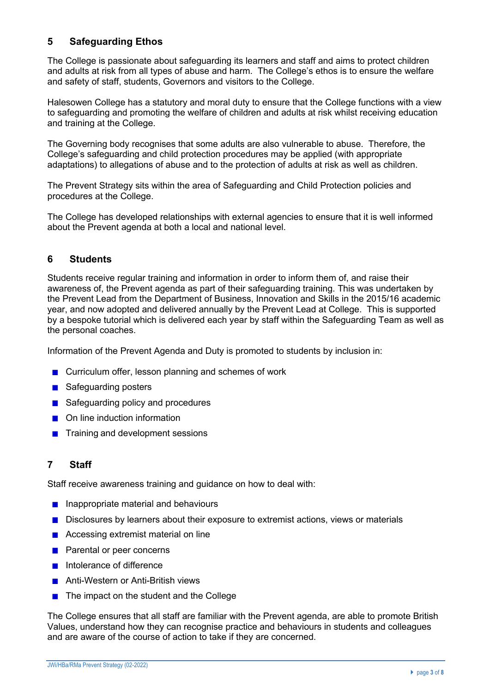# **5 Safeguarding Ethos**

The College is passionate about safeguarding its learners and staff and aims to protect children and adults at risk from all types of abuse and harm. The College's ethos is to ensure the welfare and safety of staff, students, Governors and visitors to the College.

Halesowen College has a statutory and moral duty to ensure that the College functions with a view to safeguarding and promoting the welfare of children and adults at risk whilst receiving education and training at the College.

The Governing body recognises that some adults are also vulnerable to abuse. Therefore, the College's safeguarding and child protection procedures may be applied (with appropriate adaptations) to allegations of abuse and to the protection of adults at risk as well as children.

The Prevent Strategy sits within the area of Safeguarding and Child Protection policies and procedures at the College.

The College has developed relationships with external agencies to ensure that it is well informed about the Prevent agenda at both a local and national level.

### **6 Students**

Students receive regular training and information in order to inform them of, and raise their awareness of, the Prevent agenda as part of their safeguarding training. This was undertaken by the Prevent Lead from the Department of Business, Innovation and Skills in the 2015/16 academic year, and now adopted and delivered annually by the Prevent Lead at College. This is supported by a bespoke tutorial which is delivered each year by staff within the Safeguarding Team as well as the personal coaches.

Information of the Prevent Agenda and Duty is promoted to students by inclusion in:

- Curriculum offer, lesson planning and schemes of work
- Safeguarding posters
- Safeguarding policy and procedures
- **■** On line induction information
- **■** Training and development sessions

#### **7 Staff**

Staff receive awareness training and guidance on how to deal with:

- **Inappropriate material and behaviours**
- **Disclosures by learners about their exposure to extremist actions, views or materials**
- Accessing extremist material on line
- **Parental or peer concerns**
- **Intolerance of difference**
- Anti-Western or Anti-British views
- $\blacksquare$  The impact on the student and the College

The College ensures that all staff are familiar with the Prevent agenda, are able to promote British Values, understand how they can recognise practice and behaviours in students and colleagues and are aware of the course of action to take if they are concerned.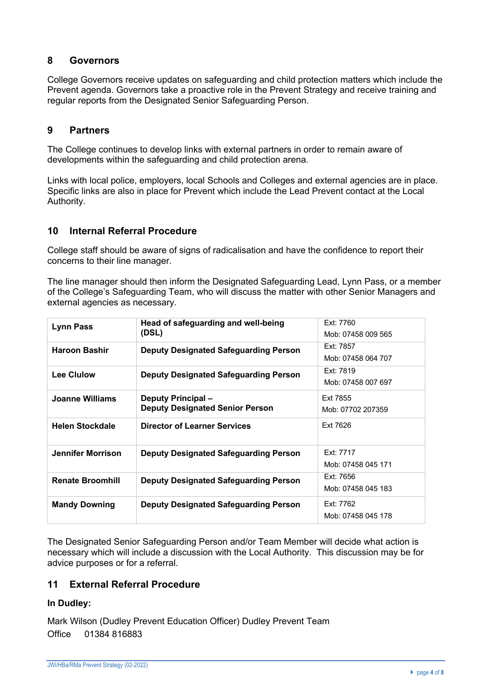#### **8 Governors**

College Governors receive updates on safeguarding and child protection matters which include the Prevent agenda. Governors take a proactive role in the Prevent Strategy and receive training and regular reports from the Designated Senior Safeguarding Person.

### **9 Partners**

The College continues to develop links with external partners in order to remain aware of developments within the safeguarding and child protection arena.

Links with local police, employers, local Schools and Colleges and external agencies are in place. Specific links are also in place for Prevent which include the Lead Prevent contact at the Local Authority.

#### **10 Internal Referral Procedure**

College staff should be aware of signs of radicalisation and have the confidence to report their concerns to their line manager.

The line manager should then inform the Designated Safeguarding Lead, Lynn Pass, or a member of the College's Safeguarding Team, who will discuss the matter with other Senior Managers and external agencies as necessary.

| <b>Lynn Pass</b>        | Head of safeguarding and well-being          | Ext: 7760          |  |
|-------------------------|----------------------------------------------|--------------------|--|
|                         | (DSL)                                        | Mob: 07458 009 565 |  |
| <b>Haroon Bashir</b>    | <b>Deputy Designated Safeguarding Person</b> | Ext: 7857          |  |
|                         |                                              | Mob: 07458 064 707 |  |
| <b>Lee Clulow</b>       | <b>Deputy Designated Safeguarding Person</b> | Ext: 7819          |  |
|                         |                                              | Mob: 07458 007 697 |  |
| <b>Joanne Williams</b>  | <b>Deputy Principal-</b>                     | Ext 7855           |  |
|                         | <b>Deputy Designated Senior Person</b>       | Mob: 07702 207359  |  |
| <b>Helen Stockdale</b>  | <b>Director of Learner Services</b>          | Ext 7626           |  |
|                         |                                              |                    |  |
| Jennifer Morrison       | <b>Deputy Designated Safeguarding Person</b> | Ext: 7717          |  |
|                         |                                              | Mob: 07458 045 171 |  |
| <b>Renate Broomhill</b> | <b>Deputy Designated Safeguarding Person</b> | Ext: 7656          |  |
|                         |                                              | Mob: 07458 045 183 |  |
| <b>Mandy Downing</b>    | <b>Deputy Designated Safeguarding Person</b> | Ext: 7762          |  |
|                         |                                              | Mob: 07458 045 178 |  |

The Designated Senior Safeguarding Person and/or Team Member will decide what action is necessary which will include a discussion with the Local Authority. This discussion may be for advice purposes or for a referral.

#### **11 External Referral Procedure**

#### **In Dudley:**

Mark Wilson (Dudley Prevent Education Officer) Dudley Prevent Team Office 01384 816883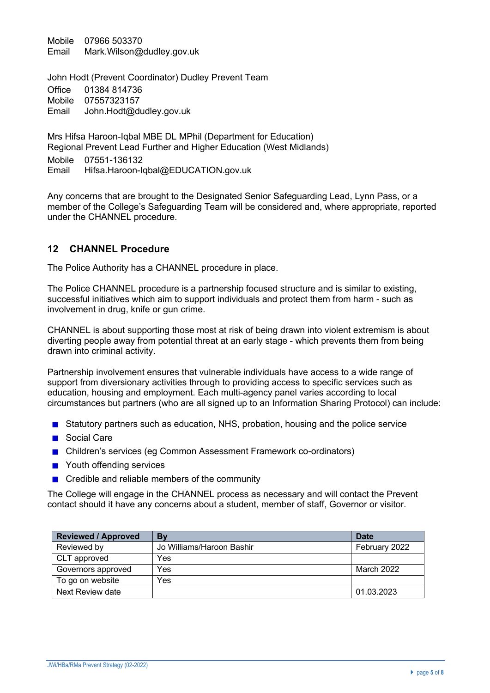Mobile 07966 503370 Email Mark.Wilson@dudley.gov.uk

John Hodt (Prevent Coordinator) Dudley Prevent Team Office 01384 814736 Mobile 07557323157 Email John.Hodt@dudley.gov.uk

Mrs Hifsa Haroon-Iqbal MBE DL MPhil (Department for Education) Regional Prevent Lead Further and Higher Education (West Midlands) Mobile 07551-136132 Email Hifsa.Haroon-Iqbal@EDUCATION.gov.uk

Any concerns that are brought to the Designated Senior Safeguarding Lead, Lynn Pass, or a member of the College's Safeguarding Team will be considered and, where appropriate, reported under the CHANNEL procedure.

#### **12 CHANNEL Procedure**

The Police Authority has a CHANNEL procedure in place.

The Police CHANNEL procedure is a partnership focused structure and is similar to existing, successful initiatives which aim to support individuals and protect them from harm - such as involvement in drug, knife or gun crime.

CHANNEL is about supporting those most at risk of being drawn into violent extremism is about diverting people away from potential threat at an early stage - which prevents them from being drawn into criminal activity.

Partnership involvement ensures that vulnerable individuals have access to a wide range of support from diversionary activities through to providing access to specific services such as education, housing and employment. Each multi-agency panel varies according to local circumstances but partners (who are all signed up to an Information Sharing Protocol) can include:

- **Statutory partners such as education, NHS, probation, housing and the police service**
- Social Care
- **Children's services (eg Common Assessment Framework co-ordinators)**
- Youth offending services
- Credible and reliable members of the community

The College will engage in the CHANNEL process as necessary and will contact the Prevent contact should it have any concerns about a student, member of staff, Governor or visitor.

| <b>Reviewed / Approved</b> | By                        | Date          |
|----------------------------|---------------------------|---------------|
| Reviewed by                | Jo Williams/Haroon Bashir | February 2022 |
| CLT approved               | Yes                       |               |
| Governors approved         | Yes                       | March 2022    |
| To go on website           | Yes                       |               |
| Next Review date           |                           | 01.03.2023    |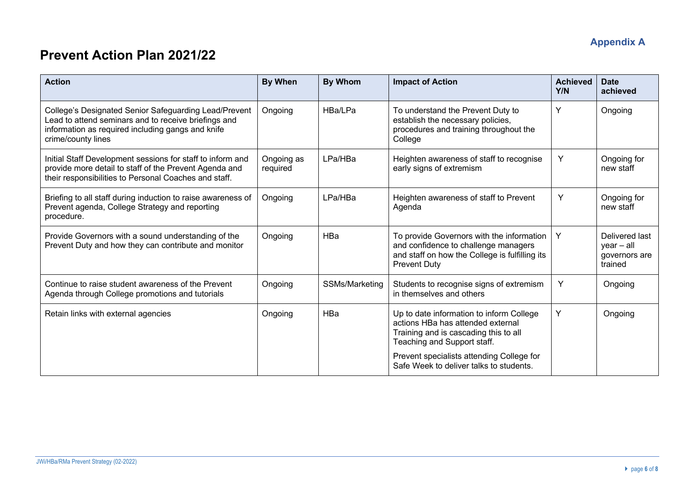# **Appendix A**

# **Prevent Action Plan 2021/22**

| <b>Action</b>                                                                                                                                                                            | <b>By When</b>         | <b>By Whom</b> | <b>Impact of Action</b>                                                                                                                                    | <b>Achieved</b><br>Y/N | <b>Date</b><br>achieved                                    |
|------------------------------------------------------------------------------------------------------------------------------------------------------------------------------------------|------------------------|----------------|------------------------------------------------------------------------------------------------------------------------------------------------------------|------------------------|------------------------------------------------------------|
| College's Designated Senior Safeguarding Lead/Prevent<br>Lead to attend seminars and to receive briefings and<br>information as required including gangs and knife<br>crime/county lines | Ongoing                | HBa/LPa        | To understand the Prevent Duty to<br>establish the necessary policies,<br>procedures and training throughout the<br>College                                | Y                      | Ongoing                                                    |
| Initial Staff Development sessions for staff to inform and<br>provide more detail to staff of the Prevent Agenda and<br>their responsibilities to Personal Coaches and staff.            | Ongoing as<br>required | LPa/HBa        | Heighten awareness of staff to recognise<br>early signs of extremism                                                                                       | Y                      | Ongoing for<br>new staff                                   |
| Briefing to all staff during induction to raise awareness of<br>Prevent agenda, College Strategy and reporting<br>procedure.                                                             | Ongoing                | LPa/HBa        | Heighten awareness of staff to Prevent<br>Agenda                                                                                                           | Y                      | Ongoing for<br>new staff                                   |
| Provide Governors with a sound understanding of the<br>Prevent Duty and how they can contribute and monitor                                                                              | Ongoing                | HBa            | To provide Governors with the information<br>and confidence to challenge managers<br>and staff on how the College is fulfilling its<br><b>Prevent Duty</b> | Y                      | Delivered last<br>$year - all$<br>governors are<br>trained |
| Continue to raise student awareness of the Prevent<br>Agenda through College promotions and tutorials                                                                                    | Ongoing                | SSMs/Marketing | Students to recognise signs of extremism<br>in themselves and others                                                                                       | Υ                      | Ongoing                                                    |
| Retain links with external agencies                                                                                                                                                      | Ongoing                | HBa            | Up to date information to inform College<br>actions HBa has attended external<br>Training and is cascading this to all<br>Teaching and Support staff.      | Y                      | Ongoing                                                    |
|                                                                                                                                                                                          |                        |                | Prevent specialists attending College for<br>Safe Week to deliver talks to students.                                                                       |                        |                                                            |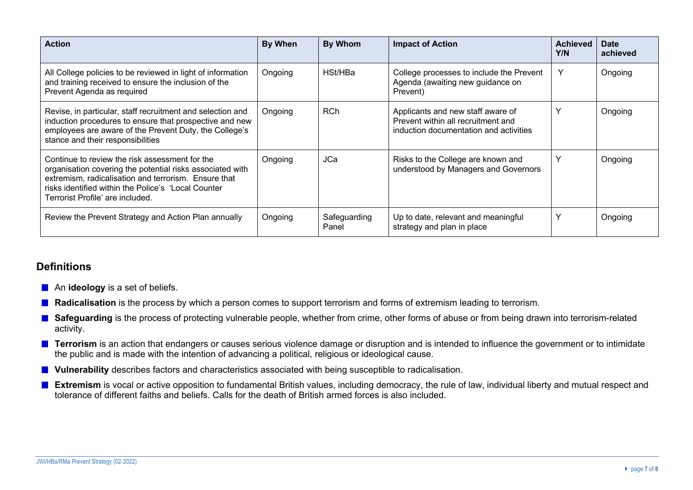| <b>Action</b>                                                                                                                                                                                                                                                  | By When | <b>By Whom</b>        | <b>Impact of Action</b>                                                                                           | <b>Achieved</b><br>Y/N | <b>Date</b><br>achieved |
|----------------------------------------------------------------------------------------------------------------------------------------------------------------------------------------------------------------------------------------------------------------|---------|-----------------------|-------------------------------------------------------------------------------------------------------------------|------------------------|-------------------------|
| All College policies to be reviewed in light of information<br>and training received to ensure the inclusion of the<br>Prevent Agenda as required                                                                                                              | Ongoing | HSt/HBa               | College processes to include the Prevent<br>Agenda (awaiting new guidance on<br>Prevent)                          | Y                      | Ongoing                 |
| Revise, in particular, staff recruitment and selection and<br>induction procedures to ensure that prospective and new<br>employees are aware of the Prevent Duty, the College's<br>stance and their responsibilities                                           | Ongoing | <b>RCh</b>            | Applicants and new staff aware of<br>Prevent within all recruitment and<br>induction documentation and activities |                        | Ongoing                 |
| Continue to review the risk assessment for the<br>organisation covering the potential risks associated with<br>extremism, radicalisation and terrorism. Ensure that<br>risks identified within the Police's 'Local Counter<br>Terrorist Profile' are included. | Ongoing | <b>JCa</b>            | Risks to the College are known and<br>understood by Managers and Governors                                        |                        | Ongoing                 |
| Review the Prevent Strategy and Action Plan annually                                                                                                                                                                                                           | Ongoing | Safeguarding<br>Panel | Up to date, relevant and meaningful<br>strategy and plan in place                                                 | Y                      | Ongoing                 |

## **Definitions**

- **An ideology** is a set of beliefs.
- Radicalisation is the process by which a person comes to support terrorism and forms of extremism leading to terrorism.
- Safeguarding is the process of protecting vulnerable people, whether from crime, other forms of abuse or from being drawn into terrorism-related activity.
- **Terrorism** is an action that endangers or causes serious violence damage or disruption and is intended to influence the government or to intimidate the public and is made with the intention of advancing a political, religious or ideological cause.
- **Vulnerability** describes factors and characteristics associated with being susceptible to radicalisation.
- **Extremism** is vocal or active opposition to fundamental British values, including democracy, the rule of law, individual liberty and mutual respect and tolerance of different faiths and beliefs. Calls for the death of British armed forces is also included.